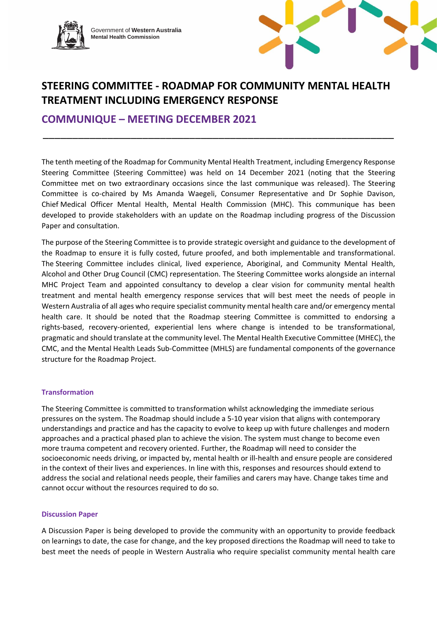

Government of **Western Australia Mental Health Commission**



# **STEERING COMMITTEE - ROADMAP FOR COMMUNITY MENTAL HEALTH TREATMENT INCLUDING EMERGENCY RESPONSE**

\_\_\_\_\_\_\_\_\_\_\_\_\_\_\_\_\_\_\_\_\_\_\_\_\_\_\_\_\_\_\_\_\_\_\_\_\_\_\_\_\_\_\_\_\_\_\_\_\_\_\_\_\_\_\_\_\_\_\_\_

**COMMUNIQUE – MEETING DECEMBER 2021**

The tenth meeting of the Roadmap for Community Mental Health Treatment, including Emergency Response Steering Committee (Steering Committee) was held on 14 December 2021 (noting that the Steering Committee met on two extraordinary occasions since the last communique was released). The Steering Committee is co-chaired by Ms Amanda Waegeli, Consumer Representative and Dr Sophie Davison, Chief Medical Officer Mental Health, Mental Health Commission (MHC). This communique has been developed to provide stakeholders with an update on the Roadmap including progress of the Discussion Paper and consultation.

The purpose of the Steering Committee is to provide strategic oversight and guidance to the development of the Roadmap to ensure it is fully costed, future proofed, and both implementable and transformational. The Steering Committee includes clinical, lived experience, Aboriginal, and Community Mental Health, Alcohol and Other Drug Council (CMC) representation. The Steering Committee works alongside an internal MHC Project Team and appointed consultancy to develop a clear vision for community mental health treatment and mental health emergency response services that will best meet the needs of people in Western Australia of all ages who require specialist community mental health care and/or emergency mental health care. It should be noted that the Roadmap steering Committee is committed to endorsing a rights-based, recovery-oriented, experiential lens where change is intended to be transformational, pragmatic and should translate at the community level. The Mental Health Executive Committee (MHEC), the CMC, and the Mental Health Leads Sub-Committee (MHLS) are fundamental components of the governance structure for the Roadmap Project.

## **Transformation**

The Steering Committee is committed to transformation whilst acknowledging the immediate serious pressures on the system. The Roadmap should include a 5-10 year vision that aligns with contemporary understandings and practice and has the capacity to evolve to keep up with future challenges and modern approaches and a practical phased plan to achieve the vision. The system must change to become even more trauma competent and recovery oriented. Further, the Roadmap will need to consider the socioeconomic needs driving, or impacted by, mental health or ill-health and ensure people are considered in the context of their lives and experiences. In line with this, responses and resources should extend to address the social and relational needs people, their families and carers may have. Change takes time and cannot occur without the resources required to do so.

### **Discussion Paper**

A Discussion Paper is being developed to provide the community with an opportunity to provide feedback on learnings to date, the case for change, and the key proposed directions the Roadmap will need to take to best meet the needs of people in Western Australia who require specialist community mental health care